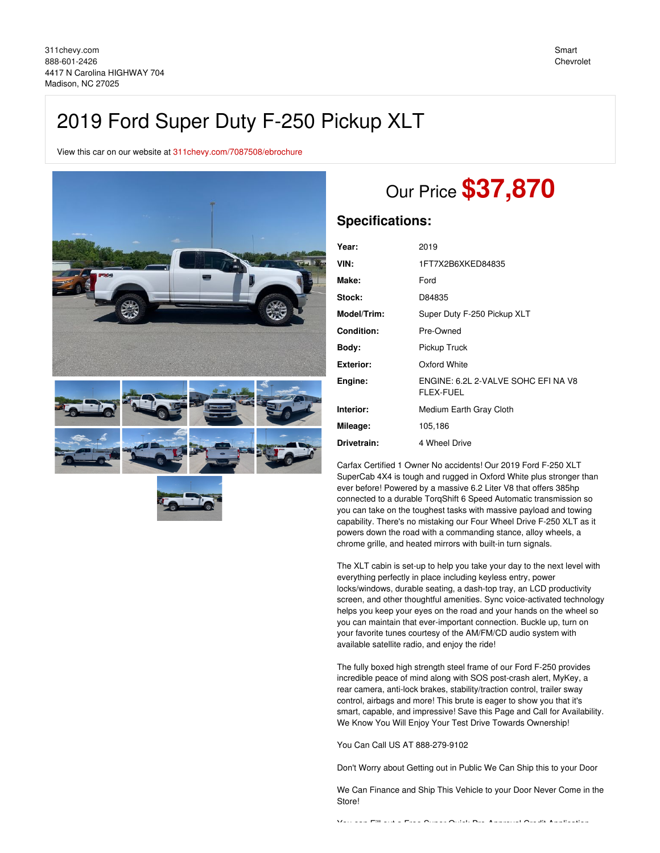# 2019 Ford Super Duty F-250 Pickup XLT

View this car on our website at [311chevy.com/7087508/ebrochure](https://311chevy.com/vehicle/7087508/2019-ford-super-duty-f-250-pickup-xlt-madison-nc-27025/7087508/ebrochure)







# Our Price **\$37,870**

## **Specifications:**

| Year:             | 2019                                             |
|-------------------|--------------------------------------------------|
| VIN:              | 1FT7X2B6XKED84835                                |
| Make:             | Ford                                             |
| Stock:            | D84835                                           |
| Model/Trim:       | Super Duty F-250 Pickup XLT                      |
| <b>Condition:</b> | Pre-Owned                                        |
| Body:             | Pickup Truck                                     |
| <b>Exterior:</b>  | Oxford White                                     |
| Engine:           | ENGINE: 6.2L 2-VALVE SOHC EFI NA V8<br>FLEX-FUEL |
| Interior:         | Medium Earth Gray Cloth                          |
| Mileage:          | 105,186                                          |
| Drivetrain:       | 4 Wheel Drive                                    |

Carfax Certified 1 Owner No accidents! Our 2019 Ford F-250 XLT SuperCab 4X4 is tough and rugged in Oxford White plus stronger than ever before! Powered by a massive 6.2 Liter V8 that offers 385hp connected to a durable TorqShift 6 Speed Automatic transmission so you can take on the toughest tasks with massive payload and towing capability. There's no mistaking our Four Wheel Drive F-250 XLT as it powers down the road with a commanding stance, alloy wheels, a chrome grille, and heated mirrors with built-in turn signals.

The XLT cabin is set-up to help you take your day to the next level with everything perfectly in place including keyless entry, power locks/windows, durable seating, a dash-top tray, an LCD productivity screen, and other thoughtful amenities. Sync voice-activated technology helps you keep your eyes on the road and your hands on the wheel so you can maintain that ever-important connection. Buckle up, turn on your favorite tunes courtesy of the AM/FM/CD audio system with available satellite radio, and enjoy the ride!

The fully boxed high strength steel frame of our Ford F-250 provides incredible peace of mind along with SOS post-crash alert, MyKey, a rear camera, anti-lock brakes, stability/traction control, trailer sway control, airbags and more! This brute is eager to show you that it's smart, capable, and impressive! Save this Page and Call for Availability. We Know You Will Enjoy Your Test Drive Towards Ownership!

You Can Call US AT 888-279-9102

Don't Worry about Getting out in Public We Can Ship this to your Door

We Can Finance and Ship This Vehicle to your Door Never Come in the Store!

You can Fill out a Free Super Quick Pre-Approval Credit Application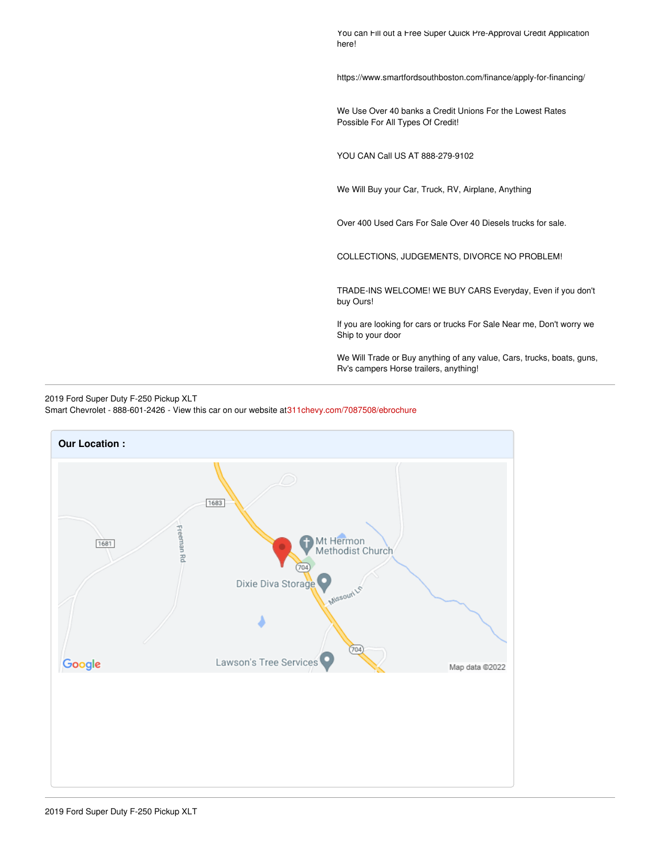You can Fill out a Free Super Quick Pre-Approval Credit Application here!

https://www.smartfordsouthboston.com/finance/apply-for-financing/

We Use Over 40 banks a Credit Unions For the Lowest Rates Possible For All Types Of Credit!

YOU CAN Call US AT 888-279-9102

We Will Buy your Car, Truck, RV, Airplane, Anything

Over 400 Used Cars For Sale Over 40 Diesels trucks for sale.

COLLECTIONS, JUDGEMENTS, DIVORCE NO PROBLEM!

TRADE-INS WELCOME! WE BUY CARS Everyday, Even if you don't buy Ours!

If you are looking for cars or trucks For Sale Near me, Don't worry we Ship to your door

We Will Trade or Buy anything of any value, Cars, trucks, boats, guns, Rv's campers Horse trailers, anything!

#### 2019 Ford Super Duty F-250 Pickup XLT Smart Chevrolet - 888-601-2426 - View this car on our website a[t311chevy.com/7087508/ebrochure](https://311chevy.com/vehicle/7087508/2019-ford-super-duty-f-250-pickup-xlt-madison-nc-27025/7087508/ebrochure)

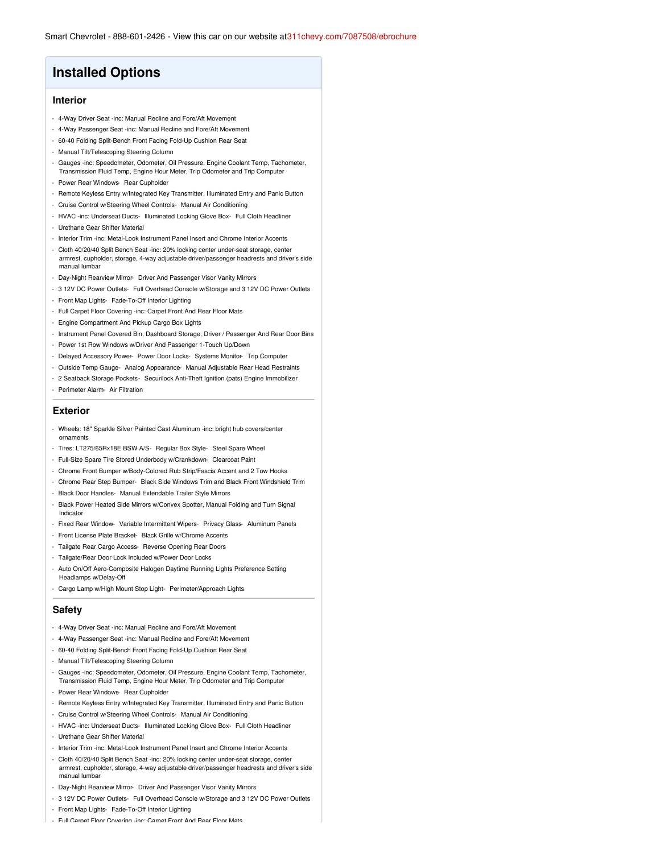## **Installed Options**

#### **Interior**

- 4-Way Driver Seat -inc: Manual Recline and Fore/Aft Movement
- 4-Way Passenger Seat -inc: Manual Recline and Fore/Aft Movement
- 60-40 Folding Split-Bench Front Facing Fold-Up Cushion Rear Seat
- Manual Tilt/Telescoping Steering Column
- Gauges -inc: Speedometer, Odometer, Oil Pressure, Engine Coolant Temp, Tachometer, Transmission Fluid Temp, Engine Hour Meter, Trip Odometer and Trip Computer
- Power Rear Windows- Rear Cupholder
- Remote Keyless Entry w/Integrated Key Transmitter, Illuminated Entry and Panic Button
- Cruise Control w/Steering Wheel Controls- Manual Air Conditioning
- HVAC -inc: Underseat Ducts- Illuminated Locking Glove Box- Full Cloth Headliner
- Urethane Gear Shifter Material
- Interior Trim -inc: Metal-Look Instrument Panel Insert and Chrome Interior Accents
- Cloth 40/20/40 Split Bench Seat -inc: 20% locking center under-seat storage, center armrest, cupholder, storage, 4-way adjustable driver/passenger headrests and driver's side manual lumbar
- Day-Night Rearview Mirror- Driver And Passenger Visor Vanity Mirrors
- 3 12V DC Power Outlets- Full Overhead Console w/Storage and 3 12V DC Power Outlets
- Front Map Lights- Fade-To-Off Interior Lighting
- Full Carpet Floor Covering -inc: Carpet Front And Rear Floor Mats
- Engine Compartment And Pickup Cargo Box Lights
- Instrument Panel Covered Bin, Dashboard Storage, Driver / Passenger And Rear Door Bins
- Power 1st Row Windows w/Driver And Passenger 1-Touch Up/Down
- Delayed Accessory Power- Power Door Locks- Systems Monitor- Trip Computer
- Outside Temp Gauge- Analog Appearance- Manual Adjustable Rear Head Restraints
- 2 Seatback Storage Pockets- Securilock Anti-Theft Ignition (pats) Engine Immobilizer
- Perimeter Alarm- Air Filtration

#### **Exterior**

- Wheels: 18" Sparkle Silver Painted Cast Aluminum -inc: bright hub covers/center ornaments
- Tires: LT275/65Rx18E BSW A/S- Regular Box Style- Steel Spare Wheel
- Full-Size Spare Tire Stored Underbody w/Crankdown- Clearcoat Paint
- Chrome Front Bumper w/Body-Colored Rub Strip/Fascia Accent and 2 Tow Hooks
- Chrome Rear Step Bumper- Black Side Windows Trim and Black Front Windshield Trim
- Black Door Handles- Manual Extendable Trailer Style Mirrors
- Black Power Heated Side Mirrors w/Convex Spotter, Manual Folding and Turn Signal Indicator
- Fixed Rear Window- Variable Intermittent Wipers- Privacy Glass- Aluminum Panels
- Front License Plate Bracket- Black Grille w/Chrome Accents
- Tailgate Rear Cargo Access- Reverse Opening Rear Doors
- Tailgate/Rear Door Lock Included w/Power Door Locks
- Auto On/Off Aero-Composite Halogen Daytime Running Lights Preference Setting Headlamps w/Delay-Off
- Cargo Lamp w/High Mount Stop Light- Perimeter/Approach Lights

#### **Safety**

- 4-Way Driver Seat -inc: Manual Recline and Fore/Aft Movement
- 4-Way Passenger Seat -inc: Manual Recline and Fore/Aft Movement
- 60-40 Folding Split-Bench Front Facing Fold-Up Cushion Rear Seat
- Manual Tilt/Telescoping Steering Column
- Gauges -inc: Speedometer, Odometer, Oil Pressure, Engine Coolant Temp, Tachometer, Transmission Fluid Temp, Engine Hour Meter, Trip Odometer and Trip Computer
- Power Rear Windows- Rear Cupholder
- Remote Keyless Entry w/Integrated Key Transmitter, Illuminated Entry and Panic Button
- Cruise Control w/Steering Wheel Controls- Manual Air Conditioning
- HVAC -inc: Underseat Ducts- Illuminated Locking Glove Box- Full Cloth Headliner
- Urethane Gear Shifter Material
- Interior Trim -inc: Metal-Look Instrument Panel Insert and Chrome Interior Accents
- Cloth 40/20/40 Split Bench Seat -inc: 20% locking center under-seat storage, center armrest, cupholder, storage, 4-way adjustable driver/passenger headrests and driver's side manual lumbar
- Day-Night Rearview Mirror- Driver And Passenger Visor Vanity Mirrors
- 3 12V DC Power Outlets- Full Overhead Console w/Storage and 3 12V DC Power Outlets
- Front Map Lights- Fade-To-Off Interior Lighting
- Full Carpet Floor Covering -inc: Carpet Front And Rear Floor Mats